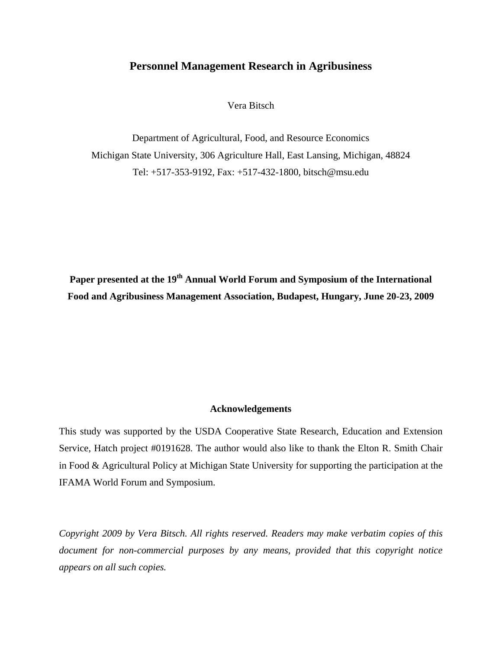# **Personnel Management Research in Agribusiness**

Vera Bitsch

Department of Agricultural, Food, and Resource Economics Michigan State University, 306 Agriculture Hall, East Lansing, Michigan, 48824 Tel: +517-353-9192, Fax: +517-432-1800, bitsch@msu.edu

Paper presented at the 19<sup>th</sup> Annual World Forum and Symposium of the International **Food and Agribusiness Management Association, Budapest, Hungary, June 20-23, 2009** 

## **Acknowledgements**

This study was supported by the USDA Cooperative State Research, Education and Extension Service, Hatch project #0191628. The author would also like to thank the Elton R. Smith Chair in Food & Agricultural Policy at Michigan State University for supporting the participation at the IFAMA World Forum and Symposium.

*Copyright 2009 by Vera Bitsch. All rights reserved. Readers may make verbatim copies of this document for non-commercial purposes by any means, provided that this copyright notice appears on all such copies.*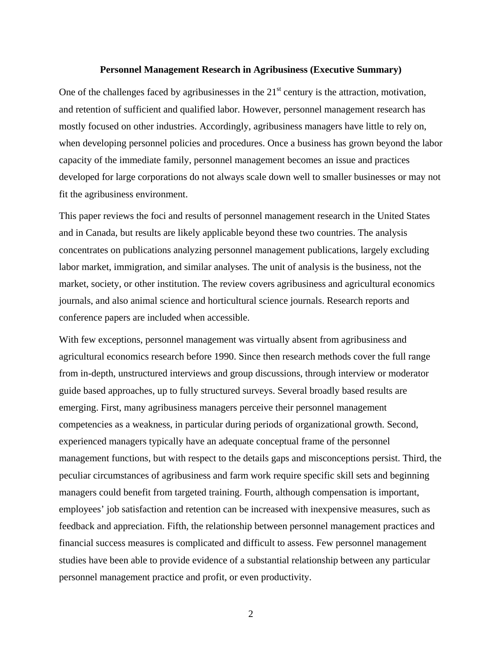#### **Personnel Management Research in Agribusiness (Executive Summary)**

One of the challenges faced by agribusinesses in the  $21<sup>st</sup>$  century is the attraction, motivation, and retention of sufficient and qualified labor. However, personnel management research has mostly focused on other industries. Accordingly, agribusiness managers have little to rely on, when developing personnel policies and procedures. Once a business has grown beyond the labor capacity of the immediate family, personnel management becomes an issue and practices developed for large corporations do not always scale down well to smaller businesses or may not fit the agribusiness environment.

This paper reviews the foci and results of personnel management research in the United States and in Canada, but results are likely applicable beyond these two countries. The analysis concentrates on publications analyzing personnel management publications, largely excluding labor market, immigration, and similar analyses. The unit of analysis is the business, not the market, society, or other institution. The review covers agribusiness and agricultural economics journals, and also animal science and horticultural science journals. Research reports and conference papers are included when accessible.

With few exceptions, personnel management was virtually absent from agribusiness and agricultural economics research before 1990. Since then research methods cover the full range from in-depth, unstructured interviews and group discussions, through interview or moderator guide based approaches, up to fully structured surveys. Several broadly based results are emerging. First, many agribusiness managers perceive their personnel management competencies as a weakness, in particular during periods of organizational growth. Second, experienced managers typically have an adequate conceptual frame of the personnel management functions, but with respect to the details gaps and misconceptions persist. Third, the peculiar circumstances of agribusiness and farm work require specific skill sets and beginning managers could benefit from targeted training. Fourth, although compensation is important, employees' job satisfaction and retention can be increased with inexpensive measures, such as feedback and appreciation. Fifth, the relationship between personnel management practices and financial success measures is complicated and difficult to assess. Few personnel management studies have been able to provide evidence of a substantial relationship between any particular personnel management practice and profit, or even productivity.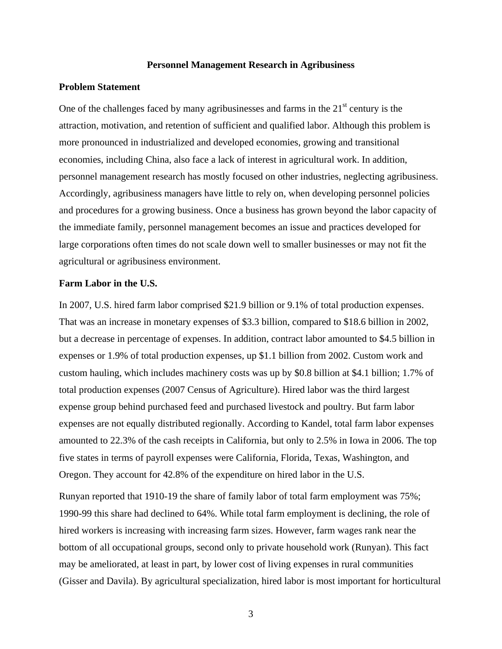## **Personnel Management Research in Agribusiness**

### **Problem Statement**

One of the challenges faced by many agribusinesses and farms in the  $21<sup>st</sup>$  century is the attraction, motivation, and retention of sufficient and qualified labor. Although this problem is more pronounced in industrialized and developed economies, growing and transitional economies, including China, also face a lack of interest in agricultural work. In addition, personnel management research has mostly focused on other industries, neglecting agribusiness. Accordingly, agribusiness managers have little to rely on, when developing personnel policies and procedures for a growing business. Once a business has grown beyond the labor capacity of the immediate family, personnel management becomes an issue and practices developed for large corporations often times do not scale down well to smaller businesses or may not fit the agricultural or agribusiness environment.

#### **Farm Labor in the U.S.**

In 2007, U.S. hired farm labor comprised \$21.9 billion or 9.1% of total production expenses. That was an increase in monetary expenses of \$3.3 billion, compared to \$18.6 billion in 2002, but a decrease in percentage of expenses. In addition, contract labor amounted to \$4.5 billion in expenses or 1.9% of total production expenses, up \$1.1 billion from 2002. Custom work and custom hauling, which includes machinery costs was up by \$0.8 billion at \$4.1 billion; 1.7% of total production expenses (2007 Census of Agriculture). Hired labor was the third largest expense group behind purchased feed and purchased livestock and poultry. But farm labor expenses are not equally distributed regionally. According to Kandel, total farm labor expenses amounted to 22.3% of the cash receipts in California, but only to 2.5% in Iowa in 2006. The top five states in terms of payroll expenses were California, Florida, Texas, Washington, and Oregon. They account for 42.8% of the expenditure on hired labor in the U.S.

Runyan reported that 1910-19 the share of family labor of total farm employment was 75%; 1990-99 this share had declined to 64%. While total farm employment is declining, the role of hired workers is increasing with increasing farm sizes. However, farm wages rank near the bottom of all occupational groups, second only to private household work (Runyan). This fact may be ameliorated, at least in part, by lower cost of living expenses in rural communities (Gisser and Davila). By agricultural specialization, hired labor is most important for horticultural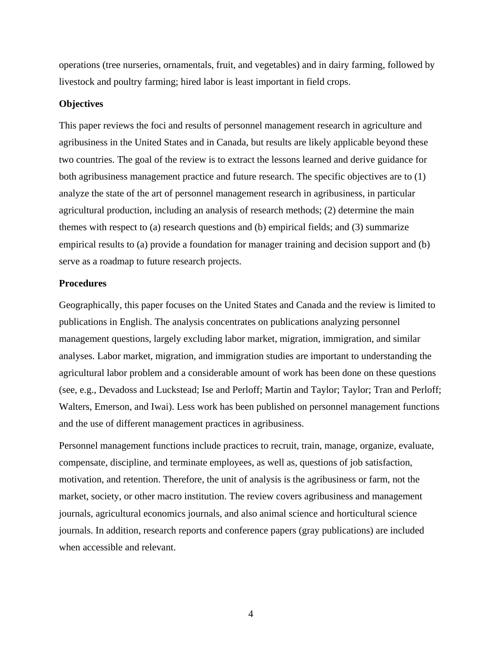operations (tree nurseries, ornamentals, fruit, and vegetables) and in dairy farming, followed by livestock and poultry farming; hired labor is least important in field crops.

## **Objectives**

This paper reviews the foci and results of personnel management research in agriculture and agribusiness in the United States and in Canada, but results are likely applicable beyond these two countries. The goal of the review is to extract the lessons learned and derive guidance for both agribusiness management practice and future research. The specific objectives are to (1) analyze the state of the art of personnel management research in agribusiness, in particular agricultural production, including an analysis of research methods; (2) determine the main themes with respect to (a) research questions and (b) empirical fields; and (3) summarize empirical results to (a) provide a foundation for manager training and decision support and (b) serve as a roadmap to future research projects.

### **Procedures**

Geographically, this paper focuses on the United States and Canada and the review is limited to publications in English. The analysis concentrates on publications analyzing personnel management questions, largely excluding labor market, migration, immigration, and similar analyses. Labor market, migration, and immigration studies are important to understanding the agricultural labor problem and a considerable amount of work has been done on these questions (see, e.g., Devadoss and Luckstead; Ise and Perloff; Martin and Taylor; Taylor; Tran and Perloff; Walters, Emerson, and Iwai). Less work has been published on personnel management functions and the use of different management practices in agribusiness.

Personnel management functions include practices to recruit, train, manage, organize, evaluate, compensate, discipline, and terminate employees, as well as, questions of job satisfaction, motivation, and retention. Therefore, the unit of analysis is the agribusiness or farm, not the market, society, or other macro institution. The review covers agribusiness and management journals, agricultural economics journals, and also animal science and horticultural science journals. In addition, research reports and conference papers (gray publications) are included when accessible and relevant.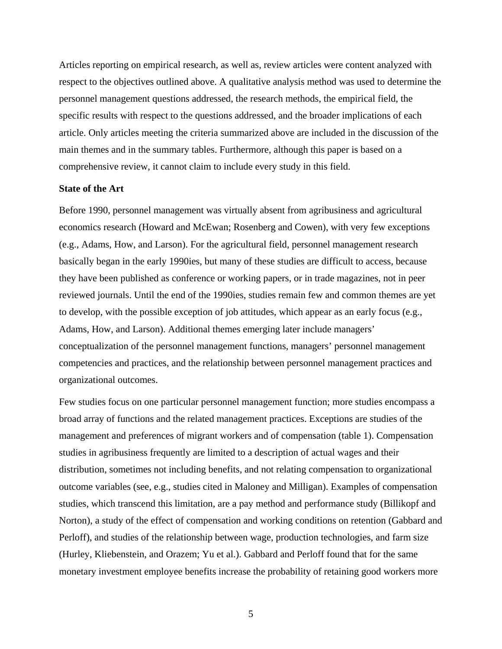Articles reporting on empirical research, as well as, review articles were content analyzed with respect to the objectives outlined above. A qualitative analysis method was used to determine the personnel management questions addressed, the research methods, the empirical field, the specific results with respect to the questions addressed, and the broader implications of each article. Only articles meeting the criteria summarized above are included in the discussion of the main themes and in the summary tables. Furthermore, although this paper is based on a comprehensive review, it cannot claim to include every study in this field.

## **State of the Art**

Before 1990, personnel management was virtually absent from agribusiness and agricultural economics research (Howard and McEwan; Rosenberg and Cowen), with very few exceptions (e.g., Adams, How, and Larson). For the agricultural field, personnel management research basically began in the early 1990ies, but many of these studies are difficult to access, because they have been published as conference or working papers, or in trade magazines, not in peer reviewed journals. Until the end of the 1990ies, studies remain few and common themes are yet to develop, with the possible exception of job attitudes, which appear as an early focus (e.g., Adams, How, and Larson). Additional themes emerging later include managers' conceptualization of the personnel management functions, managers' personnel management competencies and practices, and the relationship between personnel management practices and organizational outcomes.

Few studies focus on one particular personnel management function; more studies encompass a broad array of functions and the related management practices. Exceptions are studies of the management and preferences of migrant workers and of compensation (table 1). Compensation studies in agribusiness frequently are limited to a description of actual wages and their distribution, sometimes not including benefits, and not relating compensation to organizational outcome variables (see, e.g., studies cited in Maloney and Milligan). Examples of compensation studies, which transcend this limitation, are a pay method and performance study (Billikopf and Norton), a study of the effect of compensation and working conditions on retention (Gabbard and Perloff), and studies of the relationship between wage, production technologies, and farm size (Hurley, Kliebenstein, and Orazem; Yu et al.). Gabbard and Perloff found that for the same monetary investment employee benefits increase the probability of retaining good workers more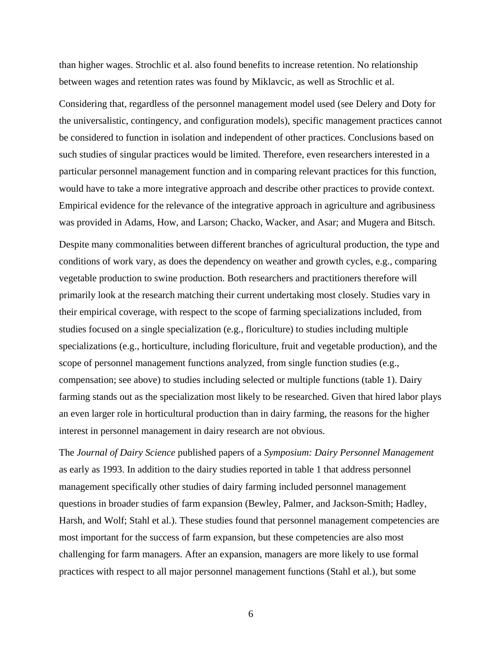than higher wages. Strochlic et al. also found benefits to increase retention. No relationship between wages and retention rates was found by Miklavcic, as well as Strochlic et al.

Considering that, regardless of the personnel management model used (see Delery and Doty for the universalistic, contingency, and configuration models), specific management practices cannot be considered to function in isolation and independent of other practices. Conclusions based on such studies of singular practices would be limited. Therefore, even researchers interested in a particular personnel management function and in comparing relevant practices for this function, would have to take a more integrative approach and describe other practices to provide context. Empirical evidence for the relevance of the integrative approach in agriculture and agribusiness was provided in Adams, How, and Larson; Chacko, Wacker, and Asar; and Mugera and Bitsch.

Despite many commonalities between different branches of agricultural production, the type and conditions of work vary, as does the dependency on weather and growth cycles, e.g., comparing vegetable production to swine production. Both researchers and practitioners therefore will primarily look at the research matching their current undertaking most closely. Studies vary in their empirical coverage, with respect to the scope of farming specializations included, from studies focused on a single specialization (e.g., floriculture) to studies including multiple specializations (e.g., horticulture, including floriculture, fruit and vegetable production), and the scope of personnel management functions analyzed, from single function studies (e.g., compensation; see above) to studies including selected or multiple functions (table 1). Dairy farming stands out as the specialization most likely to be researched. Given that hired labor plays an even larger role in horticultural production than in dairy farming, the reasons for the higher interest in personnel management in dairy research are not obvious.

The *Journal of Dairy Science* published papers of a *Symposium: Dairy Personnel Management* as early as 1993. In addition to the dairy studies reported in table 1 that address personnel management specifically other studies of dairy farming included personnel management questions in broader studies of farm expansion (Bewley, Palmer, and Jackson-Smith; Hadley, Harsh, and Wolf; Stahl et al.). These studies found that personnel management competencies are most important for the success of farm expansion, but these competencies are also most challenging for farm managers. After an expansion, managers are more likely to use formal practices with respect to all major personnel management functions (Stahl et al.), but some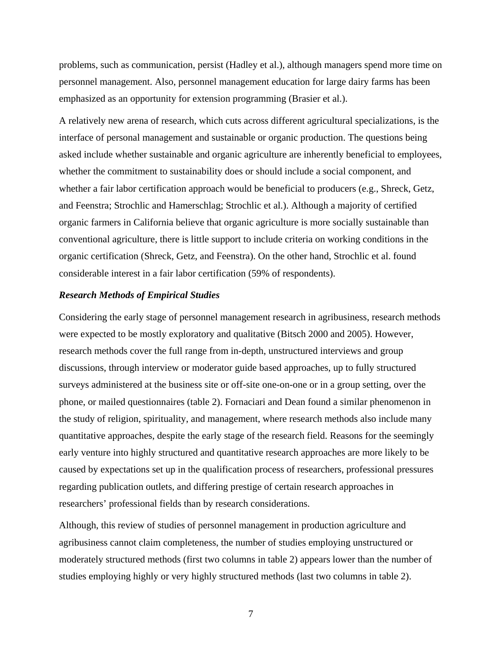problems, such as communication, persist (Hadley et al.), although managers spend more time on personnel management. Also, personnel management education for large dairy farms has been emphasized as an opportunity for extension programming (Brasier et al.).

A relatively new arena of research, which cuts across different agricultural specializations, is the interface of personal management and sustainable or organic production. The questions being asked include whether sustainable and organic agriculture are inherently beneficial to employees, whether the commitment to sustainability does or should include a social component, and whether a fair labor certification approach would be beneficial to producers (e.g., Shreck, Getz, and Feenstra; Strochlic and Hamerschlag; Strochlic et al.). Although a majority of certified organic farmers in California believe that organic agriculture is more socially sustainable than conventional agriculture, there is little support to include criteria on working conditions in the organic certification (Shreck, Getz, and Feenstra). On the other hand, Strochlic et al. found considerable interest in a fair labor certification (59% of respondents).

## *Research Methods of Empirical Studies*

Considering the early stage of personnel management research in agribusiness, research methods were expected to be mostly exploratory and qualitative (Bitsch 2000 and 2005). However, research methods cover the full range from in-depth, unstructured interviews and group discussions, through interview or moderator guide based approaches, up to fully structured surveys administered at the business site or off-site one-on-one or in a group setting, over the phone, or mailed questionnaires (table 2). Fornaciari and Dean found a similar phenomenon in the study of religion, spirituality, and management, where research methods also include many quantitative approaches, despite the early stage of the research field. Reasons for the seemingly early venture into highly structured and quantitative research approaches are more likely to be caused by expectations set up in the qualification process of researchers, professional pressures regarding publication outlets, and differing prestige of certain research approaches in researchers' professional fields than by research considerations.

Although, this review of studies of personnel management in production agriculture and agribusiness cannot claim completeness, the number of studies employing unstructured or moderately structured methods (first two columns in table 2) appears lower than the number of studies employing highly or very highly structured methods (last two columns in table 2).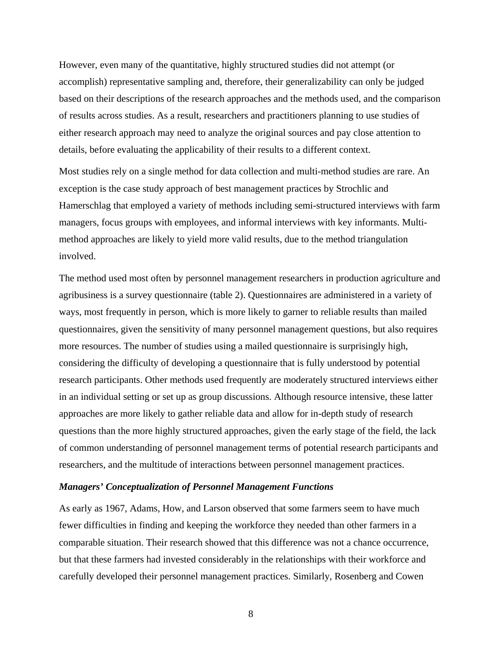However, even many of the quantitative, highly structured studies did not attempt (or accomplish) representative sampling and, therefore, their generalizability can only be judged based on their descriptions of the research approaches and the methods used, and the comparison of results across studies. As a result, researchers and practitioners planning to use studies of either research approach may need to analyze the original sources and pay close attention to details, before evaluating the applicability of their results to a different context.

Most studies rely on a single method for data collection and multi-method studies are rare. An exception is the case study approach of best management practices by Strochlic and Hamerschlag that employed a variety of methods including semi-structured interviews with farm managers, focus groups with employees, and informal interviews with key informants. Multimethod approaches are likely to yield more valid results, due to the method triangulation involved.

The method used most often by personnel management researchers in production agriculture and agribusiness is a survey questionnaire (table 2). Questionnaires are administered in a variety of ways, most frequently in person, which is more likely to garner to reliable results than mailed questionnaires, given the sensitivity of many personnel management questions, but also requires more resources. The number of studies using a mailed questionnaire is surprisingly high, considering the difficulty of developing a questionnaire that is fully understood by potential research participants. Other methods used frequently are moderately structured interviews either in an individual setting or set up as group discussions. Although resource intensive, these latter approaches are more likely to gather reliable data and allow for in-depth study of research questions than the more highly structured approaches, given the early stage of the field, the lack of common understanding of personnel management terms of potential research participants and researchers, and the multitude of interactions between personnel management practices.

## *Managers' Conceptualization of Personnel Management Functions*

As early as 1967, Adams, How, and Larson observed that some farmers seem to have much fewer difficulties in finding and keeping the workforce they needed than other farmers in a comparable situation. Their research showed that this difference was not a chance occurrence, but that these farmers had invested considerably in the relationships with their workforce and carefully developed their personnel management practices. Similarly, Rosenberg and Cowen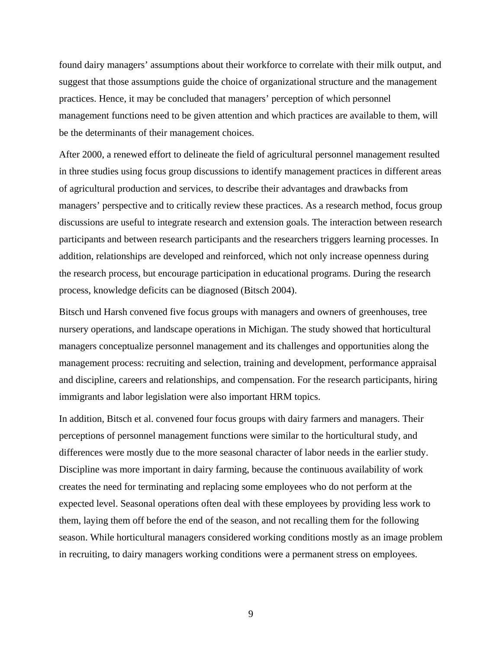found dairy managers' assumptions about their workforce to correlate with their milk output, and suggest that those assumptions guide the choice of organizational structure and the management practices. Hence, it may be concluded that managers' perception of which personnel management functions need to be given attention and which practices are available to them, will be the determinants of their management choices.

After 2000, a renewed effort to delineate the field of agricultural personnel management resulted in three studies using focus group discussions to identify management practices in different areas of agricultural production and services, to describe their advantages and drawbacks from managers' perspective and to critically review these practices. As a research method, focus group discussions are useful to integrate research and extension goals. The interaction between research participants and between research participants and the researchers triggers learning processes. In addition, relationships are developed and reinforced, which not only increase openness during the research process, but encourage participation in educational programs. During the research process, knowledge deficits can be diagnosed (Bitsch 2004).

Bitsch und Harsh convened five focus groups with managers and owners of greenhouses, tree nursery operations, and landscape operations in Michigan. The study showed that horticultural managers conceptualize personnel management and its challenges and opportunities along the management process: recruiting and selection, training and development, performance appraisal and discipline, careers and relationships, and compensation. For the research participants, hiring immigrants and labor legislation were also important HRM topics.

In addition, Bitsch et al. convened four focus groups with dairy farmers and managers. Their perceptions of personnel management functions were similar to the horticultural study, and differences were mostly due to the more seasonal character of labor needs in the earlier study. Discipline was more important in dairy farming, because the continuous availability of work creates the need for terminating and replacing some employees who do not perform at the expected level. Seasonal operations often deal with these employees by providing less work to them, laying them off before the end of the season, and not recalling them for the following season. While horticultural managers considered working conditions mostly as an image problem in recruiting, to dairy managers working conditions were a permanent stress on employees.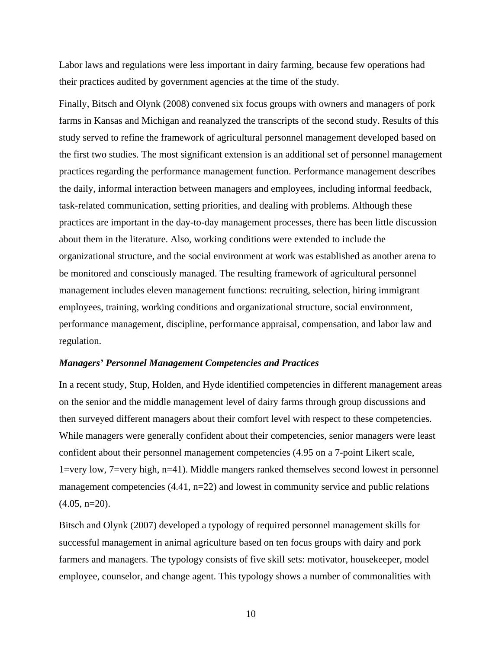Labor laws and regulations were less important in dairy farming, because few operations had their practices audited by government agencies at the time of the study.

Finally, Bitsch and Olynk (2008) convened six focus groups with owners and managers of pork farms in Kansas and Michigan and reanalyzed the transcripts of the second study. Results of this study served to refine the framework of agricultural personnel management developed based on the first two studies. The most significant extension is an additional set of personnel management practices regarding the performance management function. Performance management describes the daily, informal interaction between managers and employees, including informal feedback, task-related communication, setting priorities, and dealing with problems. Although these practices are important in the day-to-day management processes, there has been little discussion about them in the literature. Also, working conditions were extended to include the organizational structure, and the social environment at work was established as another arena to be monitored and consciously managed. The resulting framework of agricultural personnel management includes eleven management functions: recruiting, selection, hiring immigrant employees, training, working conditions and organizational structure, social environment, performance management, discipline, performance appraisal, compensation, and labor law and regulation.

#### *Managers' Personnel Management Competencies and Practices*

In a recent study, Stup, Holden, and Hyde identified competencies in different management areas on the senior and the middle management level of dairy farms through group discussions and then surveyed different managers about their comfort level with respect to these competencies. While managers were generally confident about their competencies, senior managers were least confident about their personnel management competencies (4.95 on a 7-point Likert scale, 1=very low, 7=very high, n=41). Middle mangers ranked themselves second lowest in personnel management competencies (4.41, n=22) and lowest in community service and public relations  $(4.05, n=20)$ .

Bitsch and Olynk (2007) developed a typology of required personnel management skills for successful management in animal agriculture based on ten focus groups with dairy and pork farmers and managers. The typology consists of five skill sets: motivator, housekeeper, model employee, counselor, and change agent. This typology shows a number of commonalities with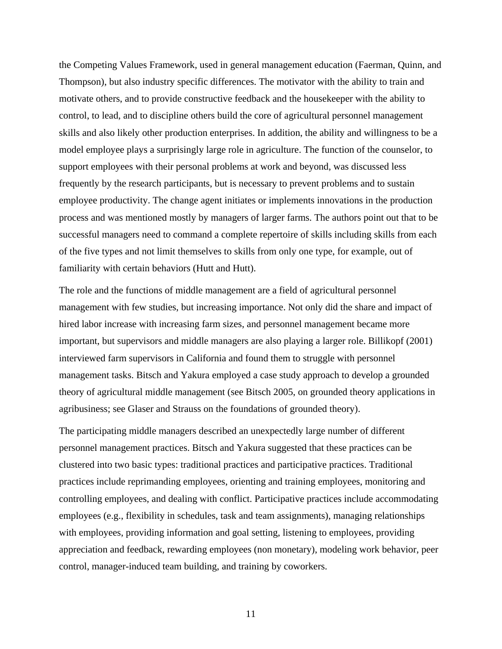the Competing Values Framework, used in general management education (Faerman, Quinn, and Thompson), but also industry specific differences. The motivator with the ability to train and motivate others, and to provide constructive feedback and the housekeeper with the ability to control, to lead, and to discipline others build the core of agricultural personnel management skills and also likely other production enterprises. In addition, the ability and willingness to be a model employee plays a surprisingly large role in agriculture. The function of the counselor, to support employees with their personal problems at work and beyond, was discussed less frequently by the research participants, but is necessary to prevent problems and to sustain employee productivity. The change agent initiates or implements innovations in the production process and was mentioned mostly by managers of larger farms. The authors point out that to be successful managers need to command a complete repertoire of skills including skills from each of the five types and not limit themselves to skills from only one type, for example, out of familiarity with certain behaviors (Hutt and Hutt).

The role and the functions of middle management are a field of agricultural personnel management with few studies, but increasing importance. Not only did the share and impact of hired labor increase with increasing farm sizes, and personnel management became more important, but supervisors and middle managers are also playing a larger role. Billikopf (2001) interviewed farm supervisors in California and found them to struggle with personnel management tasks. Bitsch and Yakura employed a case study approach to develop a grounded theory of agricultural middle management (see Bitsch 2005, on grounded theory applications in agribusiness; see Glaser and Strauss on the foundations of grounded theory).

The participating middle managers described an unexpectedly large number of different personnel management practices. Bitsch and Yakura suggested that these practices can be clustered into two basic types: traditional practices and participative practices. Traditional practices include reprimanding employees, orienting and training employees, monitoring and controlling employees, and dealing with conflict. Participative practices include accommodating employees (e.g., flexibility in schedules, task and team assignments), managing relationships with employees, providing information and goal setting, listening to employees, providing appreciation and feedback, rewarding employees (non monetary), modeling work behavior, peer control, manager-induced team building, and training by coworkers.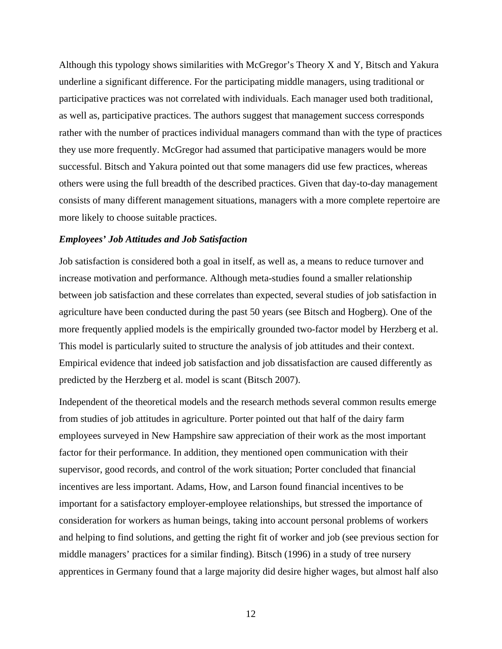Although this typology shows similarities with McGregor's Theory X and Y, Bitsch and Yakura underline a significant difference. For the participating middle managers, using traditional or participative practices was not correlated with individuals. Each manager used both traditional, as well as, participative practices. The authors suggest that management success corresponds rather with the number of practices individual managers command than with the type of practices they use more frequently. McGregor had assumed that participative managers would be more successful. Bitsch and Yakura pointed out that some managers did use few practices, whereas others were using the full breadth of the described practices. Given that day-to-day management consists of many different management situations, managers with a more complete repertoire are more likely to choose suitable practices.

## *Employees' Job Attitudes and Job Satisfaction*

Job satisfaction is considered both a goal in itself, as well as, a means to reduce turnover and increase motivation and performance. Although meta-studies found a smaller relationship between job satisfaction and these correlates than expected, several studies of job satisfaction in agriculture have been conducted during the past 50 years (see Bitsch and Hogberg). One of the more frequently applied models is the empirically grounded two-factor model by Herzberg et al. This model is particularly suited to structure the analysis of job attitudes and their context. Empirical evidence that indeed job satisfaction and job dissatisfaction are caused differently as predicted by the Herzberg et al. model is scant (Bitsch 2007).

Independent of the theoretical models and the research methods several common results emerge from studies of job attitudes in agriculture. Porter pointed out that half of the dairy farm employees surveyed in New Hampshire saw appreciation of their work as the most important factor for their performance. In addition, they mentioned open communication with their supervisor, good records, and control of the work situation; Porter concluded that financial incentives are less important. Adams, How, and Larson found financial incentives to be important for a satisfactory employer-employee relationships, but stressed the importance of consideration for workers as human beings, taking into account personal problems of workers and helping to find solutions, and getting the right fit of worker and job (see previous section for middle managers' practices for a similar finding). Bitsch (1996) in a study of tree nursery apprentices in Germany found that a large majority did desire higher wages, but almost half also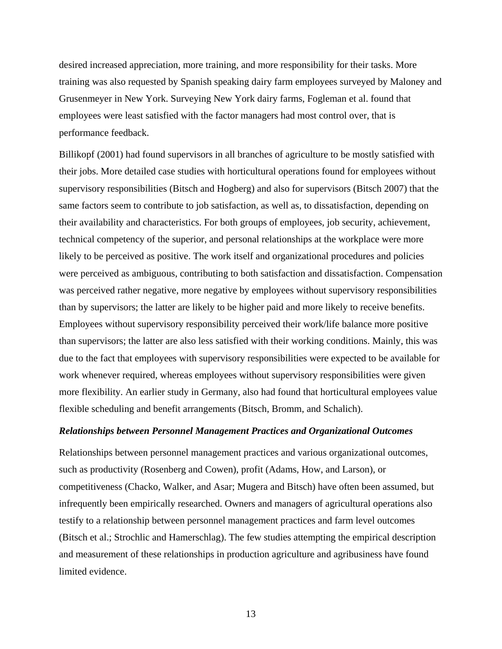desired increased appreciation, more training, and more responsibility for their tasks. More training was also requested by Spanish speaking dairy farm employees surveyed by Maloney and Grusenmeyer in New York. Surveying New York dairy farms, Fogleman et al. found that employees were least satisfied with the factor managers had most control over, that is performance feedback.

Billikopf (2001) had found supervisors in all branches of agriculture to be mostly satisfied with their jobs. More detailed case studies with horticultural operations found for employees without supervisory responsibilities (Bitsch and Hogberg) and also for supervisors (Bitsch 2007) that the same factors seem to contribute to job satisfaction, as well as, to dissatisfaction, depending on their availability and characteristics. For both groups of employees, job security, achievement, technical competency of the superior, and personal relationships at the workplace were more likely to be perceived as positive. The work itself and organizational procedures and policies were perceived as ambiguous, contributing to both satisfaction and dissatisfaction. Compensation was perceived rather negative, more negative by employees without supervisory responsibilities than by supervisors; the latter are likely to be higher paid and more likely to receive benefits. Employees without supervisory responsibility perceived their work/life balance more positive than supervisors; the latter are also less satisfied with their working conditions. Mainly, this was due to the fact that employees with supervisory responsibilities were expected to be available for work whenever required, whereas employees without supervisory responsibilities were given more flexibility. An earlier study in Germany, also had found that horticultural employees value flexible scheduling and benefit arrangements (Bitsch, Bromm, and Schalich).

#### *Relationships between Personnel Management Practices and Organizational Outcomes*

Relationships between personnel management practices and various organizational outcomes, such as productivity (Rosenberg and Cowen), profit (Adams, How, and Larson), or competitiveness (Chacko, Walker, and Asar; Mugera and Bitsch) have often been assumed, but infrequently been empirically researched. Owners and managers of agricultural operations also testify to a relationship between personnel management practices and farm level outcomes (Bitsch et al.; Strochlic and Hamerschlag). The few studies attempting the empirical description and measurement of these relationships in production agriculture and agribusiness have found limited evidence.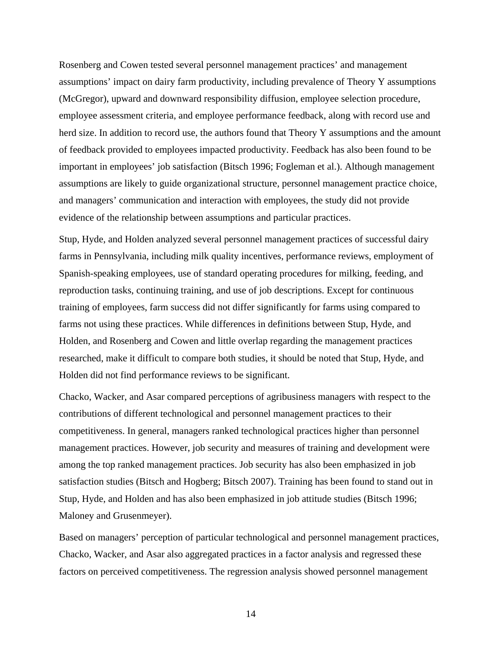Rosenberg and Cowen tested several personnel management practices' and management assumptions' impact on dairy farm productivity, including prevalence of Theory Y assumptions (McGregor), upward and downward responsibility diffusion, employee selection procedure, employee assessment criteria, and employee performance feedback, along with record use and herd size. In addition to record use, the authors found that Theory Y assumptions and the amount of feedback provided to employees impacted productivity. Feedback has also been found to be important in employees' job satisfaction (Bitsch 1996; Fogleman et al.). Although management assumptions are likely to guide organizational structure, personnel management practice choice, and managers' communication and interaction with employees, the study did not provide evidence of the relationship between assumptions and particular practices.

Stup, Hyde, and Holden analyzed several personnel management practices of successful dairy farms in Pennsylvania, including milk quality incentives, performance reviews, employment of Spanish-speaking employees, use of standard operating procedures for milking, feeding, and reproduction tasks, continuing training, and use of job descriptions. Except for continuous training of employees, farm success did not differ significantly for farms using compared to farms not using these practices. While differences in definitions between Stup, Hyde, and Holden, and Rosenberg and Cowen and little overlap regarding the management practices researched, make it difficult to compare both studies, it should be noted that Stup, Hyde, and Holden did not find performance reviews to be significant.

Chacko, Wacker, and Asar compared perceptions of agribusiness managers with respect to the contributions of different technological and personnel management practices to their competitiveness. In general, managers ranked technological practices higher than personnel management practices. However, job security and measures of training and development were among the top ranked management practices. Job security has also been emphasized in job satisfaction studies (Bitsch and Hogberg; Bitsch 2007). Training has been found to stand out in Stup, Hyde, and Holden and has also been emphasized in job attitude studies (Bitsch 1996; Maloney and Grusenmeyer).

Based on managers' perception of particular technological and personnel management practices, Chacko, Wacker, and Asar also aggregated practices in a factor analysis and regressed these factors on perceived competitiveness. The regression analysis showed personnel management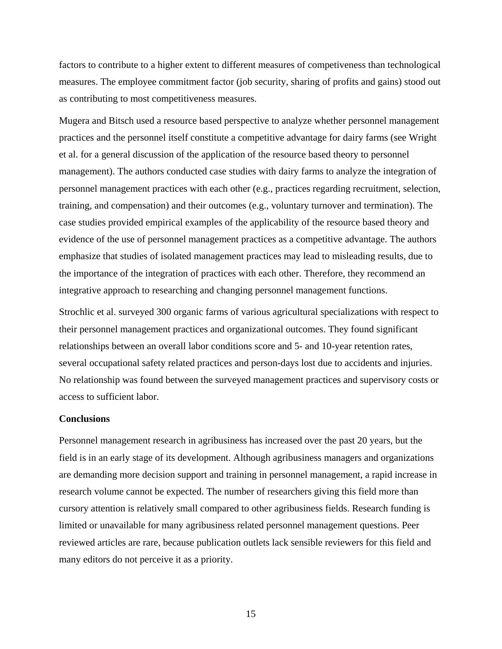factors to contribute to a higher extent to different measures of competiveness than technological measures. The employee commitment factor (job security, sharing of profits and gains) stood out as contributing to most competitiveness measures.

Mugera and Bitsch used a resource based perspective to analyze whether personnel management practices and the personnel itself constitute a competitive advantage for dairy farms (see Wright et al. for a general discussion of the application of the resource based theory to personnel management). The authors conducted case studies with dairy farms to analyze the integration of personnel management practices with each other (e.g., practices regarding recruitment, selection, training, and compensation) and their outcomes (e.g., voluntary turnover and termination). The case studies provided empirical examples of the applicability of the resource based theory and evidence of the use of personnel management practices as a competitive advantage. The authors emphasize that studies of isolated management practices may lead to misleading results, due to the importance of the integration of practices with each other. Therefore, they recommend an integrative approach to researching and changing personnel management functions.

Strochlic et al. surveyed 300 organic farms of various agricultural specializations with respect to their personnel management practices and organizational outcomes. They found significant relationships between an overall labor conditions score and 5- and 10-year retention rates, several occupational safety related practices and person-days lost due to accidents and injuries. No relationship was found between the surveyed management practices and supervisory costs or access to sufficient labor.

## **Conclusions**

Personnel management research in agribusiness has increased over the past 20 years, but the field is in an early stage of its development. Although agribusiness managers and organizations are demanding more decision support and training in personnel management, a rapid increase in research volume cannot be expected. The number of researchers giving this field more than cursory attention is relatively small compared to other agribusiness fields. Research funding is limited or unavailable for many agribusiness related personnel management questions. Peer reviewed articles are rare, because publication outlets lack sensible reviewers for this field and many editors do not perceive it as a priority.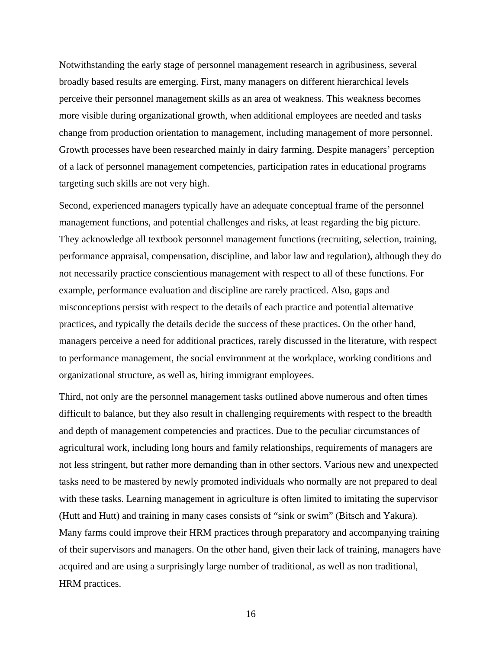Notwithstanding the early stage of personnel management research in agribusiness, several broadly based results are emerging. First, many managers on different hierarchical levels perceive their personnel management skills as an area of weakness. This weakness becomes more visible during organizational growth, when additional employees are needed and tasks change from production orientation to management, including management of more personnel. Growth processes have been researched mainly in dairy farming. Despite managers' perception of a lack of personnel management competencies, participation rates in educational programs targeting such skills are not very high.

Second, experienced managers typically have an adequate conceptual frame of the personnel management functions, and potential challenges and risks, at least regarding the big picture. They acknowledge all textbook personnel management functions (recruiting, selection, training, performance appraisal, compensation, discipline, and labor law and regulation), although they do not necessarily practice conscientious management with respect to all of these functions. For example, performance evaluation and discipline are rarely practiced. Also, gaps and misconceptions persist with respect to the details of each practice and potential alternative practices, and typically the details decide the success of these practices. On the other hand, managers perceive a need for additional practices, rarely discussed in the literature, with respect to performance management, the social environment at the workplace, working conditions and organizational structure, as well as, hiring immigrant employees.

Third, not only are the personnel management tasks outlined above numerous and often times difficult to balance, but they also result in challenging requirements with respect to the breadth and depth of management competencies and practices. Due to the peculiar circumstances of agricultural work, including long hours and family relationships, requirements of managers are not less stringent, but rather more demanding than in other sectors. Various new and unexpected tasks need to be mastered by newly promoted individuals who normally are not prepared to deal with these tasks. Learning management in agriculture is often limited to imitating the supervisor (Hutt and Hutt) and training in many cases consists of "sink or swim" (Bitsch and Yakura). Many farms could improve their HRM practices through preparatory and accompanying training of their supervisors and managers. On the other hand, given their lack of training, managers have acquired and are using a surprisingly large number of traditional, as well as non traditional, HRM practices.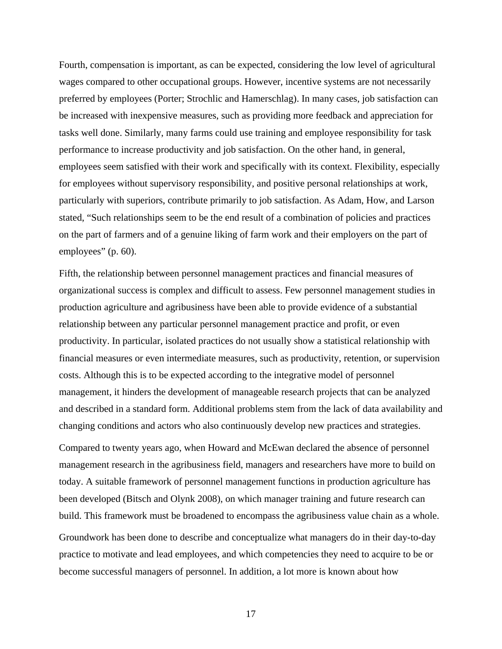Fourth, compensation is important, as can be expected, considering the low level of agricultural wages compared to other occupational groups. However, incentive systems are not necessarily preferred by employees (Porter; Strochlic and Hamerschlag). In many cases, job satisfaction can be increased with inexpensive measures, such as providing more feedback and appreciation for tasks well done. Similarly, many farms could use training and employee responsibility for task performance to increase productivity and job satisfaction. On the other hand, in general, employees seem satisfied with their work and specifically with its context. Flexibility, especially for employees without supervisory responsibility, and positive personal relationships at work, particularly with superiors, contribute primarily to job satisfaction. As Adam, How, and Larson stated, "Such relationships seem to be the end result of a combination of policies and practices on the part of farmers and of a genuine liking of farm work and their employers on the part of employees" (p. 60).

Fifth, the relationship between personnel management practices and financial measures of organizational success is complex and difficult to assess. Few personnel management studies in production agriculture and agribusiness have been able to provide evidence of a substantial relationship between any particular personnel management practice and profit, or even productivity. In particular, isolated practices do not usually show a statistical relationship with financial measures or even intermediate measures, such as productivity, retention, or supervision costs. Although this is to be expected according to the integrative model of personnel management, it hinders the development of manageable research projects that can be analyzed and described in a standard form. Additional problems stem from the lack of data availability and changing conditions and actors who also continuously develop new practices and strategies.

Compared to twenty years ago, when Howard and McEwan declared the absence of personnel management research in the agribusiness field, managers and researchers have more to build on today. A suitable framework of personnel management functions in production agriculture has been developed (Bitsch and Olynk 2008), on which manager training and future research can build. This framework must be broadened to encompass the agribusiness value chain as a whole.

Groundwork has been done to describe and conceptualize what managers do in their day-to-day practice to motivate and lead employees, and which competencies they need to acquire to be or become successful managers of personnel. In addition, a lot more is known about how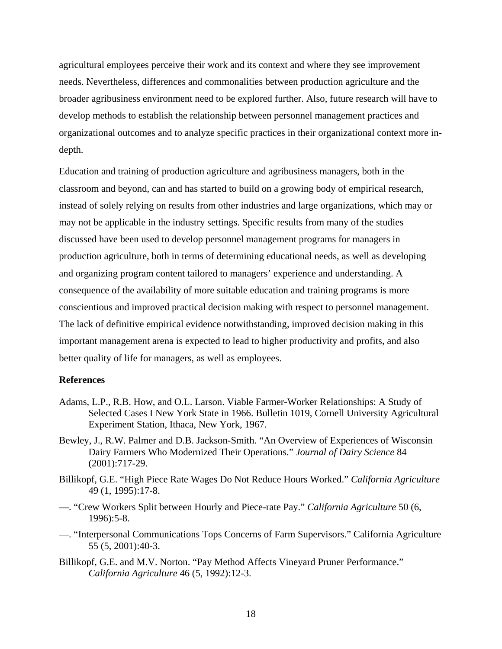agricultural employees perceive their work and its context and where they see improvement needs. Nevertheless, differences and commonalities between production agriculture and the broader agribusiness environment need to be explored further. Also, future research will have to develop methods to establish the relationship between personnel management practices and organizational outcomes and to analyze specific practices in their organizational context more indepth.

Education and training of production agriculture and agribusiness managers, both in the classroom and beyond, can and has started to build on a growing body of empirical research, instead of solely relying on results from other industries and large organizations, which may or may not be applicable in the industry settings. Specific results from many of the studies discussed have been used to develop personnel management programs for managers in production agriculture, both in terms of determining educational needs, as well as developing and organizing program content tailored to managers' experience and understanding. A consequence of the availability of more suitable education and training programs is more conscientious and improved practical decision making with respect to personnel management. The lack of definitive empirical evidence notwithstanding, improved decision making in this important management arena is expected to lead to higher productivity and profits, and also better quality of life for managers, as well as employees.

## **References**

- Adams, L.P., R.B. How, and O.L. Larson. Viable Farmer-Worker Relationships: A Study of Selected Cases I New York State in 1966. Bulletin 1019, Cornell University Agricultural Experiment Station, Ithaca, New York, 1967.
- Bewley, J., R.W. Palmer and D.B. Jackson-Smith. "An Overview of Experiences of Wisconsin Dairy Farmers Who Modernized Their Operations." *Journal of Dairy Science* 84 (2001):717-29.
- Billikopf, G.E. "High Piece Rate Wages Do Not Reduce Hours Worked." *California Agriculture* 49 (1, 1995):17-8.
- —. "Crew Workers Split between Hourly and Piece-rate Pay." *California Agriculture* 50 (6, 1996):5-8.
- —. "Interpersonal Communications Tops Concerns of Farm Supervisors." California Agriculture 55 (5, 2001):40-3.
- Billikopf, G.E. and M.V. Norton. "Pay Method Affects Vineyard Pruner Performance." *California Agriculture* 46 (5, 1992):12-3.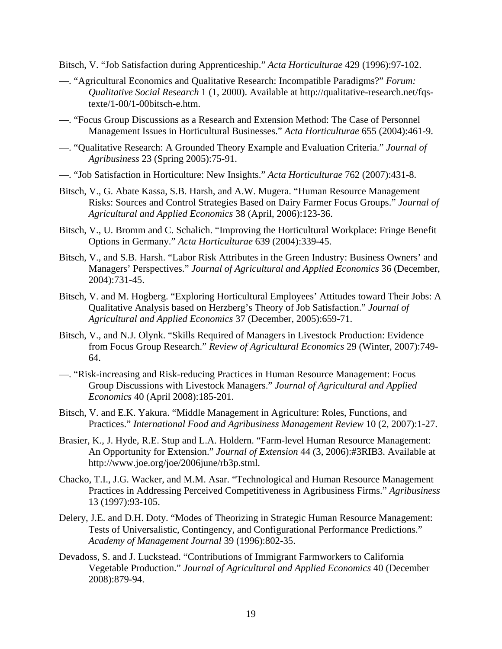Bitsch, V. "Job Satisfaction during Apprenticeship." *Acta Horticulturae* 429 (1996):97-102.

- —. "Agricultural Economics and Qualitative Research: Incompatible Paradigms?" *Forum: Qualitative Social Research* 1 (1, 2000). Available at http://qualitative-research.net/fqstexte/1-00/1-00bitsch-e.htm.
- —. "Focus Group Discussions as a Research and Extension Method: The Case of Personnel Management Issues in Horticultural Businesses." *Acta Horticulturae* 655 (2004):461-9.
- —. "Qualitative Research: A Grounded Theory Example and Evaluation Criteria." *Journal of Agribusiness* 23 (Spring 2005):75-91.
- —. "Job Satisfaction in Horticulture: New Insights." *Acta Horticulturae* 762 (2007):431-8.
- Bitsch, V., G. Abate Kassa, S.B. Harsh, and A.W. Mugera. "Human Resource Management Risks: Sources and Control Strategies Based on Dairy Farmer Focus Groups." *Journal of Agricultural and Applied Economics* 38 (April, 2006):123-36.
- Bitsch, V., U. Bromm and C. Schalich. "Improving the Horticultural Workplace: Fringe Benefit Options in Germany." *Acta Horticulturae* 639 (2004):339-45.
- Bitsch, V., and S.B. Harsh. "Labor Risk Attributes in the Green Industry: Business Owners' and Managers' Perspectives." *Journal of Agricultural and Applied Economics* 36 (December, 2004):731-45.
- Bitsch, V. and M. Hogberg. "Exploring Horticultural Employees' Attitudes toward Their Jobs: A Qualitative Analysis based on Herzberg's Theory of Job Satisfaction." *Journal of Agricultural and Applied Economics* 37 (December, 2005):659-71.
- Bitsch, V., and N.J. Olynk. "Skills Required of Managers in Livestock Production: Evidence from Focus Group Research." *Review of Agricultural Economics* 29 (Winter, 2007):749- 64.
- —. "Risk-increasing and Risk-reducing Practices in Human Resource Management: Focus Group Discussions with Livestock Managers." *Journal of Agricultural and Applied Economics* 40 (April 2008):185-201.
- Bitsch, V. and E.K. Yakura. "Middle Management in Agriculture: Roles, Functions, and Practices." *International Food and Agribusiness Management Review* 10 (2, 2007):1-27.
- Brasier, K., J. Hyde, R.E. Stup and L.A. Holdern. "Farm-level Human Resource Management: An Opportunity for Extension." *Journal of Extension* 44 (3, 2006):#3RIB3. Available at http://www.joe.org/joe/2006june/rb3p.stml.
- Chacko, T.I., J.G. Wacker, and M.M. Asar. "Technological and Human Resource Management Practices in Addressing Perceived Competitiveness in Agribusiness Firms." *Agribusiness* 13 (1997):93-105.
- Delery, J.E. and D.H. Doty. "Modes of Theorizing in Strategic Human Resource Management: Tests of Universalistic, Contingency, and Configurational Performance Predictions." *Academy of Management Journal* 39 (1996):802-35.
- Devadoss, S. and J. Luckstead. "Contributions of Immigrant Farmworkers to California Vegetable Production." *Journal of Agricultural and Applied Economics* 40 (December 2008):879-94.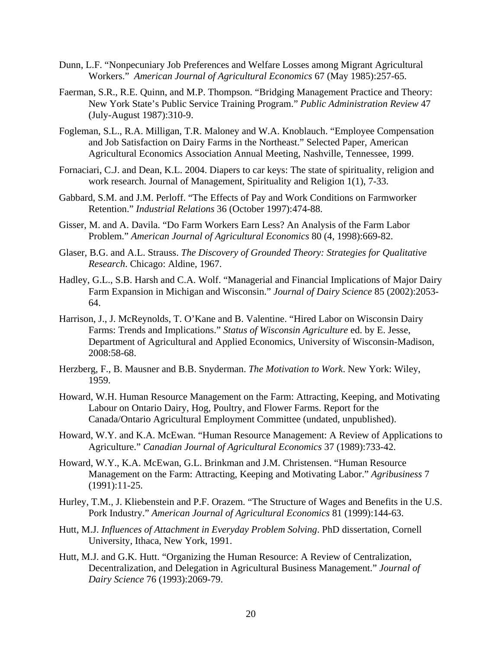- Dunn, L.F. "Nonpecuniary Job Preferences and Welfare Losses among Migrant Agricultural Workers." *American Journal of Agricultural Economics* 67 (May 1985):257-65.
- Faerman, S.R., R.E. Quinn, and M.P. Thompson. "Bridging Management Practice and Theory: New York State's Public Service Training Program." *Public Administration Review* 47 (July-August 1987):310-9.
- Fogleman, S.L., R.A. Milligan, T.R. Maloney and W.A. Knoblauch. "Employee Compensation and Job Satisfaction on Dairy Farms in the Northeast." Selected Paper, American Agricultural Economics Association Annual Meeting, Nashville, Tennessee, 1999.
- Fornaciari, C.J. and Dean, K.L. 2004. Diapers to car keys: The state of spirituality, religion and work research. Journal of Management, Spirituality and Religion 1(1), 7-33.
- Gabbard, S.M. and J.M. Perloff. "The Effects of Pay and Work Conditions on Farmworker Retention." *Industrial Relations* 36 (October 1997):474-88.
- Gisser, M. and A. Davila. "Do Farm Workers Earn Less? An Analysis of the Farm Labor Problem." *American Journal of Agricultural Economics* 80 (4, 1998):669-82.
- Glaser, B.G. and A.L. Strauss. *The Discovery of Grounded Theory: Strategies for Qualitative Research*. Chicago: Aldine, 1967.
- Hadley, G.L., S.B. Harsh and C.A. Wolf. "Managerial and Financial Implications of Major Dairy Farm Expansion in Michigan and Wisconsin." *Journal of Dairy Science* 85 (2002):2053- 64.
- Harrison, J., J. McReynolds, T. O'Kane and B. Valentine. "Hired Labor on Wisconsin Dairy Farms: Trends and Implications." *Status of Wisconsin Agriculture* ed. by E. Jesse, Department of Agricultural and Applied Economics, University of Wisconsin-Madison, 2008:58-68.
- Herzberg, F., B. Mausner and B.B. Snyderman. *The Motivation to Work*. New York: Wiley, 1959.
- Howard, W.H. Human Resource Management on the Farm: Attracting, Keeping, and Motivating Labour on Ontario Dairy, Hog, Poultry, and Flower Farms. Report for the Canada/Ontario Agricultural Employment Committee (undated, unpublished).
- Howard, W.Y. and K.A. McEwan. "Human Resource Management: A Review of Applications to Agriculture." *Canadian Journal of Agricultural Economics* 37 (1989):733-42.
- Howard, W.Y., K.A. McEwan, G.L. Brinkman and J.M. Christensen. "Human Resource Management on the Farm: Attracting, Keeping and Motivating Labor." *Agribusiness* 7 (1991):11-25.
- Hurley, T.M., J. Kliebenstein and P.F. Orazem. "The Structure of Wages and Benefits in the U.S. Pork Industry." *American Journal of Agricultural Economics* 81 (1999):144-63.
- Hutt, M.J. *Influences of Attachment in Everyday Problem Solving*. PhD dissertation, Cornell University, Ithaca, New York, 1991.
- Hutt, M.J. and G.K. Hutt. "Organizing the Human Resource: A Review of Centralization, Decentralization, and Delegation in Agricultural Business Management." *Journal of Dairy Science* 76 (1993):2069-79.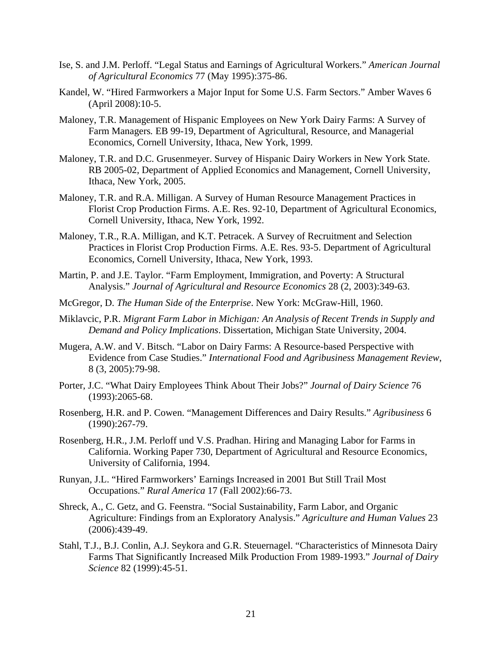- Ise, S. and J.M. Perloff. "Legal Status and Earnings of Agricultural Workers." *American Journal of Agricultural Economics* 77 (May 1995):375-86.
- Kandel, W. "Hired Farmworkers a Major Input for Some U.S. Farm Sectors." Amber Waves 6 (April 2008):10-5.
- Maloney, T.R. Management of Hispanic Employees on New York Dairy Farms: A Survey of Farm Managers*.* EB 99-19, Department of Agricultural, Resource, and Managerial Economics, Cornell University, Ithaca, New York, 1999.
- Maloney, T.R. and D.C. Grusenmeyer. Survey of Hispanic Dairy Workers in New York State. RB 2005-02, Department of Applied Economics and Management, Cornell University, Ithaca, New York, 2005.
- Maloney, T.R. and R.A. Milligan. A Survey of Human Resource Management Practices in Florist Crop Production Firms. A.E. Res. 92-10, Department of Agricultural Economics, Cornell University, Ithaca, New York, 1992.
- Maloney, T.R., R.A. Milligan, and K.T. Petracek. A Survey of Recruitment and Selection Practices in Florist Crop Production Firms. A.E. Res. 93-5. Department of Agricultural Economics, Cornell University, Ithaca, New York, 1993.
- Martin, P. and J.E. Taylor. "Farm Employment, Immigration, and Poverty: A Structural Analysis." *Journal of Agricultural and Resource Economics* 28 (2, 2003):349-63.
- McGregor, D. *The Human Side of the Enterprise*. New York: McGraw-Hill, 1960.
- Miklavcic, P.R. *Migrant Farm Labor in Michigan: An Analysis of Recent Trends in Supply and Demand and Policy Implications*. Dissertation, Michigan State University, 2004.
- Mugera, A.W. and V. Bitsch. "Labor on Dairy Farms: A Resource-based Perspective with Evidence from Case Studies." *International Food and Agribusiness Management Review*, 8 (3, 2005):79-98.
- Porter, J.C. "What Dairy Employees Think About Their Jobs?" *Journal of Dairy Science* 76 (1993):2065-68.
- Rosenberg, H.R. and P. Cowen. "Management Differences and Dairy Results." *Agribusiness* 6 (1990):267-79.
- Rosenberg, H.R., J.M. Perloff und V.S. Pradhan. Hiring and Managing Labor for Farms in California. Working Paper 730, Department of Agricultural and Resource Economics, University of California, 1994.
- Runyan, J.L. "Hired Farmworkers' Earnings Increased in 2001 But Still Trail Most Occupations." *Rural America* 17 (Fall 2002):66-73.
- Shreck, A., C. Getz, and G. Feenstra. "Social Sustainability, Farm Labor, and Organic Agriculture: Findings from an Exploratory Analysis." *Agriculture and Human Values* 23 (2006):439-49.
- Stahl, T.J., B.J. Conlin, A.J. Seykora and G.R. Steuernagel. "Characteristics of Minnesota Dairy Farms That Significantly Increased Milk Production From 1989-1993." *Journal of Dairy Science* 82 (1999):45-51.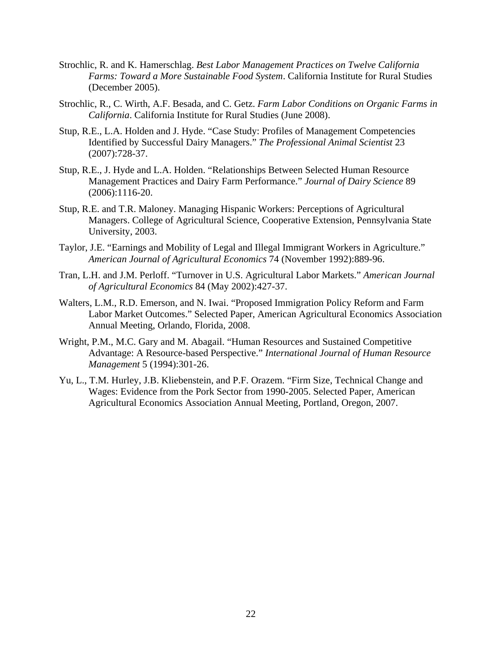- Strochlic, R. and K. Hamerschlag. *Best Labor Management Practices on Twelve California Farms: Toward a More Sustainable Food System*. California Institute for Rural Studies (December 2005).
- Strochlic, R., C. Wirth, A.F. Besada, and C. Getz. *Farm Labor Conditions on Organic Farms in California*. California Institute for Rural Studies (June 2008).
- Stup, R.E., L.A. Holden and J. Hyde. "Case Study: Profiles of Management Competencies Identified by Successful Dairy Managers." *The Professional Animal Scientist* 23 (2007):728-37.
- Stup, R.E., J. Hyde and L.A. Holden. "Relationships Between Selected Human Resource Management Practices and Dairy Farm Performance." *Journal of Dairy Science* 89 (2006):1116-20.
- Stup, R.E. and T.R. Maloney. Managing Hispanic Workers: Perceptions of Agricultural Managers. College of Agricultural Science, Cooperative Extension, Pennsylvania State University, 2003.
- Taylor, J.E. "Earnings and Mobility of Legal and Illegal Immigrant Workers in Agriculture." *American Journal of Agricultural Economics* 74 (November 1992):889-96.
- Tran, L.H. and J.M. Perloff. "Turnover in U.S. Agricultural Labor Markets." *American Journal of Agricultural Economics* 84 (May 2002):427-37.
- Walters, L.M., R.D. Emerson, and N. Iwai. "Proposed Immigration Policy Reform and Farm Labor Market Outcomes." Selected Paper, American Agricultural Economics Association Annual Meeting, Orlando, Florida, 2008.
- Wright, P.M., M.C. Gary and M. Abagail. "Human Resources and Sustained Competitive Advantage: A Resource-based Perspective." *International Journal of Human Resource Management* 5 (1994):301-26.
- Yu, L., T.M. Hurley, J.B. Kliebenstein, and P.F. Orazem. "Firm Size, Technical Change and Wages: Evidence from the Pork Sector from 1990-2005. Selected Paper, American Agricultural Economics Association Annual Meeting, Portland, Oregon, 2007.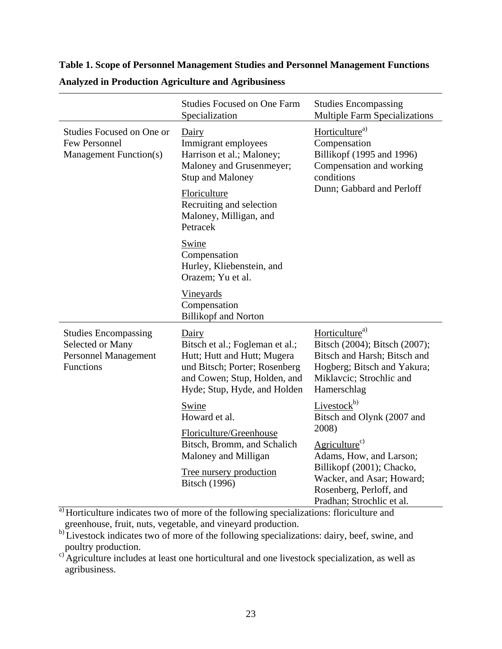# **Table 1. Scope of Personnel Management Studies and Personnel Management Functions**

|                                                                                                    | <b>Studies Focused on One Farm</b><br>Specialization                                                                                                                     | <b>Studies Encompassing</b><br><b>Multiple Farm Specializations</b>                                                                                                   |  |
|----------------------------------------------------------------------------------------------------|--------------------------------------------------------------------------------------------------------------------------------------------------------------------------|-----------------------------------------------------------------------------------------------------------------------------------------------------------------------|--|
| Studies Focused on One or<br><b>Few Personnel</b><br>Management Function(s)                        | Dairy<br>Immigrant employees<br>Harrison et al.; Maloney;<br>Maloney and Grusenmeyer;<br><b>Stup and Maloney</b>                                                         | Horticulture <sup>a)</sup><br>Compensation<br>Billikopf (1995 and 1996)<br>Compensation and working<br>conditions                                                     |  |
|                                                                                                    | Floriculture<br>Recruiting and selection<br>Maloney, Milligan, and<br>Petracek                                                                                           | Dunn; Gabbard and Perloff                                                                                                                                             |  |
|                                                                                                    | Swine<br>Compensation<br>Hurley, Kliebenstein, and<br>Orazem; Yu et al.                                                                                                  |                                                                                                                                                                       |  |
|                                                                                                    | Vineyards<br>Compensation<br><b>Billikopf and Norton</b>                                                                                                                 |                                                                                                                                                                       |  |
| <b>Studies Encompassing</b><br>Selected or Many<br><b>Personnel Management</b><br><b>Functions</b> | Dairy<br>Bitsch et al.; Fogleman et al.;<br>Hutt; Hutt and Hutt; Mugera<br>und Bitsch; Porter; Rosenberg<br>and Cowen; Stup, Holden, and<br>Hyde; Stup, Hyde, and Holden | Horticulture <sup>a)</sup><br>Bitsch (2004); Bitsch (2007);<br>Bitsch and Harsh; Bitsch and<br>Hogberg; Bitsch and Yakura;<br>Miklavcic; Strochlic and<br>Hamerschlag |  |
|                                                                                                    | Swine<br>Howard et al.                                                                                                                                                   | Livestock <sup>b)</sup><br>Bitsch and Olynk (2007 and<br>2008)                                                                                                        |  |
|                                                                                                    | Floriculture/Greenhouse<br>Bitsch, Bromm, and Schalich<br>Maloney and Milligan                                                                                           | Agriculture <sup>c)</sup><br>Adams, How, and Larson;                                                                                                                  |  |
|                                                                                                    | Tree nursery production<br><b>Bitsch</b> (1996)                                                                                                                          | Billikopf (2001); Chacko,<br>Wacker, and Asar; Howard;<br>Rosenberg, Perloff, and                                                                                     |  |

## **Analyzed in Production Agriculture and Agribusiness**

a) Horticulture indicates two of more of the following specializations: floriculture and greenhouse, fruit, nuts, vegetable, and vineyard production.

b) Livestock indicates two of more of the following specializations: dairy, beef, swine, and poultry production.

Pradhan; Strochlic et al.

c) Agriculture includes at least one horticultural and one livestock specialization, as well as agribusiness.